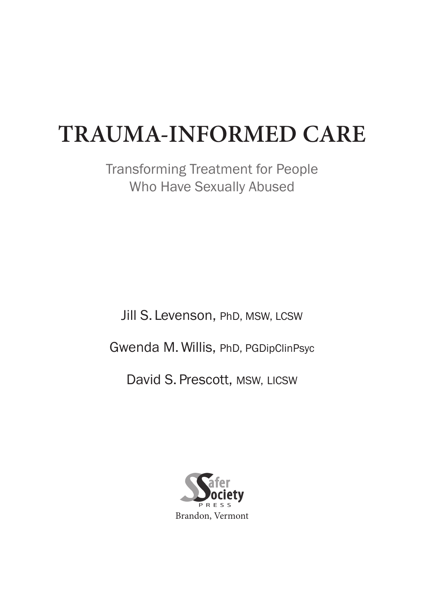# **TRAUMA-INFORMED CARE**

Transforming Treatment for People Who Have Sexually Abused

Jill S. Levenson, PhD, MSW, LCSW Gwenda M. Willis, PhD, PGDipClinPsyc David S. Prescott, MSW, LICSW

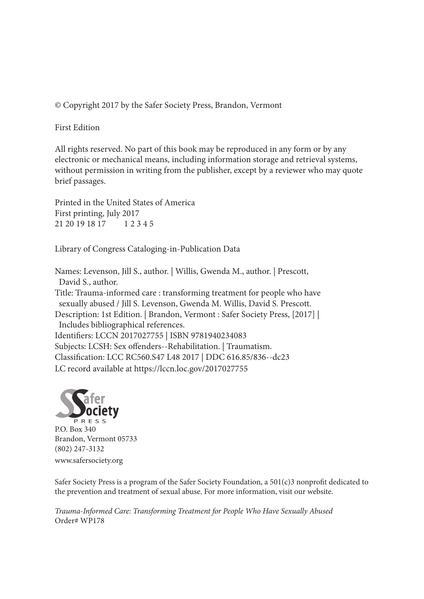© Copyright 2017 by the Safer Society Press, Brandon, Vermont

First Edition

All rights reserved. No part of this book may be reproduced in any form or by any electronic or mechanical means, including information storage and retrieval systems, without permission in writing from the publisher, except by a reviewer who may quote brief passages.

Printed in the United States of America First printing, July 2017 21 20 19 18 17 1 2 3 4 5

Library of Congress Cataloging-in-Publication Data

Names: Levenson, Jill S., author. | Willis, Gwenda M., author. | Prescott, David S., author. Title: Trauma-informed care : transforming treatment for people who have sexually abused / Jill S. Levenson, Gwenda M. Willis, David S. Prescott. Description: 1st Edition. | Brandon, Vermont : Safer Society Press, [2017] | Includes bibliographical references. Identifiers: LCCN 2017027755 | ISBN 9781940234083 Subjects: LCSH: Sex offenders--Rehabilitation. | Traumatism. Classification: LCC RC560.S47 L48 2017 | DDC 616.85/836--dc23 LC record available at https://lccn.loc.gov/2017027755



P.O. Box 340 Brandon, Vermont 05733 (802) 247-3132

www.safersociety.org

Safer Society Press is a program of the Safer Society Foundation, a 501(c)3 nonprofit dedicated to the prevention and treatment of sexual abuse. For more information, visit our website.

*Trauma-Informed Care: Transforming Treatment for People Who Have Sexually Abused* Order# WP178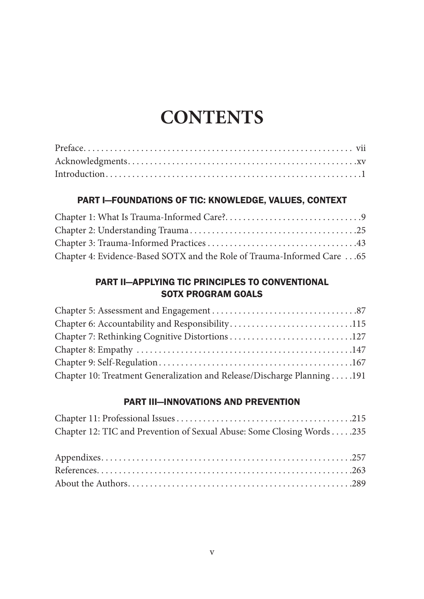# **CONTENTS**

#### PART I—FOUNDATIONS OF TIC: KNOWLEDGE, VALUES, CONTEXT

| Chapter 4: Evidence-Based SOTX and the Role of Trauma-Informed Care  65 |  |
|-------------------------------------------------------------------------|--|

#### PART II—APPLYING TIC PRINCIPLES TO CONVENTIONAL SOTX PROGRAM GOALS

| Chapter 6: Accountability and Responsibility115                         |  |
|-------------------------------------------------------------------------|--|
|                                                                         |  |
|                                                                         |  |
|                                                                         |  |
| Chapter 10: Treatment Generalization and Release/Discharge Planning 191 |  |

#### PART III—INNOVATIONS AND PREVENTION

| Chapter 12: TIC and Prevention of Sexual Abuse: Some Closing Words 235 |  |
|------------------------------------------------------------------------|--|
|                                                                        |  |
|                                                                        |  |
|                                                                        |  |
|                                                                        |  |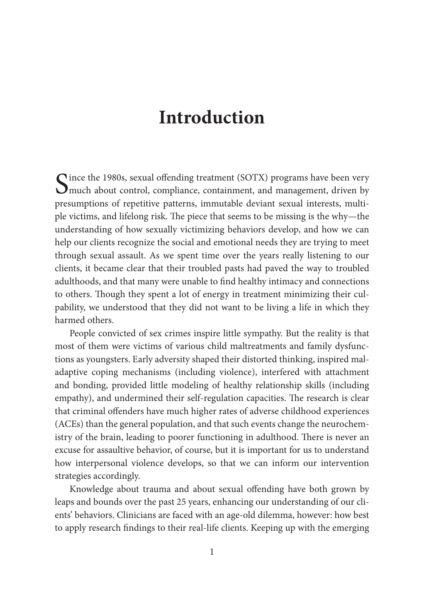## **Introduction**

Since the 1980s, sexual offending treatment (SOTX) programs have been very much about control, compliance, containment, and management, driven by presumptions of repetitive patterns, immutable deviant sexual interests, multiple victims, and lifelong risk. The piece that seems to be missing is the why—the understanding of how sexually victimizing behaviors develop, and how we can help our clients recognize the social and emotional needs they are trying to meet through sexual assault. As we spent time over the years really listening to our clients, it became clear that their troubled pasts had paved the way to troubled adulthoods, and that many were unable to find healthy intimacy and connections to others. Though they spent a lot of energy in treatment minimizing their culpability, we understood that they did not want to be living a life in which they harmed others.

People convicted of sex crimes inspire little sympathy. But the reality is that most of them were victims of various child maltreatments and family dysfunctions as youngsters. Early adversity shaped their distorted thinking, inspired maladaptive coping mechanisms (including violence), interfered with attachment and bonding, provided little modeling of healthy relationship skills (including empathy), and undermined their self-regulation capacities. The research is clear that criminal offenders have much higher rates of adverse childhood experiences (ACEs) than the general population, and that such events change the neurochemistry of the brain, leading to poorer functioning in adulthood. There is never an excuse for assaultive behavior, of course, but it is important for us to understand how interpersonal violence develops, so that we can inform our intervention strategies accordingly.

Knowledge about trauma and about sexual offending have both grown by leaps and bounds over the past 25 years, enhancing our understanding of our clients' behaviors. Clinicians are faced with an age-old dilemma, however: how best to apply research findings to their real-life clients. Keeping up with the emerging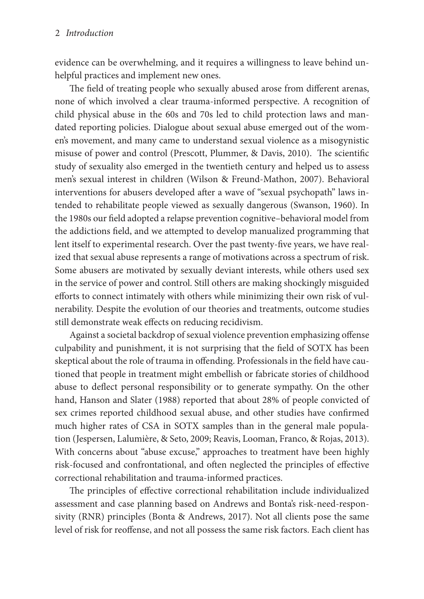evidence can be overwhelming, and it requires a willingness to leave behind unhelpful practices and implement new ones.

The field of treating people who sexually abused arose from different arenas, none of which involved a clear trauma-informed perspective. A recognition of child physical abuse in the 60s and 70s led to child protection laws and mandated reporting policies. Dialogue about sexual abuse emerged out of the women's movement, and many came to understand sexual violence as a misogynistic misuse of power and control (Prescott, Plummer, & Davis, 2010). The scientific study of sexuality also emerged in the twentieth century and helped us to assess men's sexual interest in children (Wilson & Freund-Mathon, 2007). Behavioral interventions for abusers developed after a wave of "sexual psychopath" laws intended to rehabilitate people viewed as sexually dangerous (Swanson, 1960). In the 1980s our field adopted a relapse prevention cognitive–behavioral model from the addictions field, and we attempted to develop manualized programming that lent itself to experimental research. Over the past twenty-five years, we have realized that sexual abuse represents a range of motivations across a spectrum of risk. Some abusers are motivated by sexually deviant interests, while others used sex in the service of power and control. Still others are making shockingly misguided efforts to connect intimately with others while minimizing their own risk of vulnerability. Despite the evolution of our theories and treatments, outcome studies still demonstrate weak effects on reducing recidivism.

Against a societal backdrop of sexual violence prevention emphasizing offense culpability and punishment, it is not surprising that the field of SOTX has been skeptical about the role of trauma in offending. Professionals in the field have cautioned that people in treatment might embellish or fabricate stories of childhood abuse to deflect personal responsibility or to generate sympathy. On the other hand, Hanson and Slater (1988) reported that about 28% of people convicted of sex crimes reported childhood sexual abuse, and other studies have confirmed much higher rates of CSA in SOTX samples than in the general male population (Jespersen, Lalumière, & Seto, 2009; Reavis, Looman, Franco, & Rojas, 2013). With concerns about "abuse excuse," approaches to treatment have been highly risk-focused and confrontational, and often neglected the principles of effective correctional rehabilitation and trauma-informed practices.

The principles of effective correctional rehabilitation include individualized assessment and case planning based on Andrews and Bonta's risk-need-responsivity (RNR) principles (Bonta & Andrews, 2017). Not all clients pose the same level of risk for reoffense, and not all possess the same risk factors. Each client has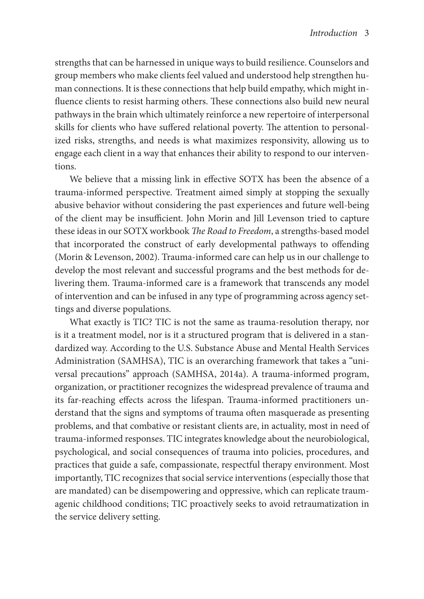strengths that can be harnessed in unique ways to build resilience. Counselors and group members who make clients feel valued and understood help strengthen human connections. It is these connections that help build empathy, which might influence clients to resist harming others. These connections also build new neural pathways in the brain which ultimately reinforce a new repertoire of interpersonal skills for clients who have suffered relational poverty. The attention to personalized risks, strengths, and needs is what maximizes responsivity, allowing us to engage each client in a way that enhances their ability to respond to our interventions.

We believe that a missing link in effective SOTX has been the absence of a trauma-informed perspective. Treatment aimed simply at stopping the sexually abusive behavior without considering the past experiences and future well-being of the client may be insufficient. John Morin and Jill Levenson tried to capture these ideas in our SOTX workbook *The Road to Freedom*, a strengths-based model that incorporated the construct of early developmental pathways to offending (Morin & Levenson, 2002). Trauma-informed care can help us in our challenge to develop the most relevant and successful programs and the best methods for delivering them. Trauma-informed care is a framework that transcends any model of intervention and can be infused in any type of programming across agency settings and diverse populations.

What exactly is TIC? TIC is not the same as trauma-resolution therapy, nor is it a treatment model, nor is it a structured program that is delivered in a standardized way. According to the U.S. Substance Abuse and Mental Health Services Administration (SAMHSA), TIC is an overarching framework that takes a "universal precautions" approach (SAMHSA, 2014a). A trauma-informed program, organization, or practitioner recognizes the widespread prevalence of trauma and its far-reaching effects across the lifespan. Trauma-informed practitioners understand that the signs and symptoms of trauma often masquerade as presenting problems, and that combative or resistant clients are, in actuality, most in need of trauma-informed responses. TIC integrates knowledge about the neurobiological, psychological, and social consequences of trauma into policies, procedures, and practices that guide a safe, compassionate, respectful therapy environment. Most importantly, TIC recognizes that social service interventions (especially those that are mandated) can be disempowering and oppressive, which can replicate traumagenic childhood conditions; TIC proactively seeks to avoid retraumatization in the service delivery setting.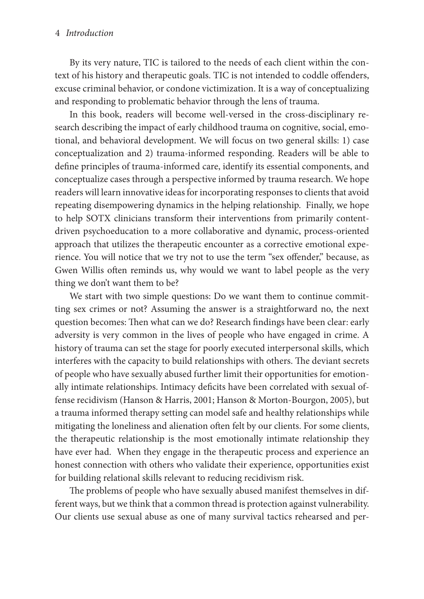#### 4 *Introduction*

By its very nature, TIC is tailored to the needs of each client within the context of his history and therapeutic goals. TIC is not intended to coddle offenders, excuse criminal behavior, or condone victimization. It is a way of conceptualizing and responding to problematic behavior through the lens of trauma.

In this book, readers will become well-versed in the cross-disciplinary research describing the impact of early childhood trauma on cognitive, social, emotional, and behavioral development. We will focus on two general skills: 1) case conceptualization and 2) trauma-informed responding. Readers will be able to define principles of trauma-informed care, identify its essential components, and conceptualize cases through a perspective informed by trauma research. We hope readers will learn innovative ideas for incorporating responses to clients that avoid repeating disempowering dynamics in the helping relationship. Finally, we hope to help SOTX clinicians transform their interventions from primarily contentdriven psychoeducation to a more collaborative and dynamic, process-oriented approach that utilizes the therapeutic encounter as a corrective emotional experience. You will notice that we try not to use the term "sex offender," because, as Gwen Willis often reminds us, why would we want to label people as the very thing we don't want them to be?

We start with two simple questions: Do we want them to continue committing sex crimes or not? Assuming the answer is a straightforward no, the next question becomes: Then what can we do? Research findings have been clear: early adversity is very common in the lives of people who have engaged in crime. A history of trauma can set the stage for poorly executed interpersonal skills, which interferes with the capacity to build relationships with others. The deviant secrets of people who have sexually abused further limit their opportunities for emotionally intimate relationships. Intimacy deficits have been correlated with sexual offense recidivism (Hanson & Harris, 2001; Hanson & Morton-Bourgon, 2005), but a trauma informed therapy setting can model safe and healthy relationships while mitigating the loneliness and alienation often felt by our clients. For some clients, the therapeutic relationship is the most emotionally intimate relationship they have ever had. When they engage in the therapeutic process and experience an honest connection with others who validate their experience, opportunities exist for building relational skills relevant to reducing recidivism risk.

The problems of people who have sexually abused manifest themselves in different ways, but we think that a common thread is protection against vulnerability. Our clients use sexual abuse as one of many survival tactics rehearsed and per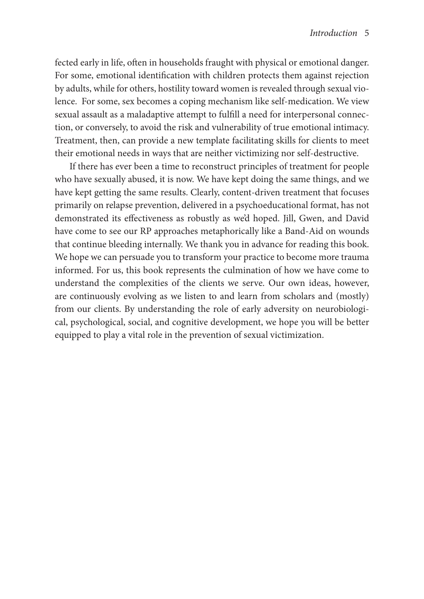fected early in life, often in households fraught with physical or emotional danger. For some, emotional identification with children protects them against rejection by adults, while for others, hostility toward women is revealed through sexual violence. For some, sex becomes a coping mechanism like self-medication. We view sexual assault as a maladaptive attempt to fulfill a need for interpersonal connection, or conversely, to avoid the risk and vulnerability of true emotional intimacy. Treatment, then, can provide a new template facilitating skills for clients to meet their emotional needs in ways that are neither victimizing nor self-destructive.

If there has ever been a time to reconstruct principles of treatment for people who have sexually abused, it is now. We have kept doing the same things, and we have kept getting the same results. Clearly, content-driven treatment that focuses primarily on relapse prevention, delivered in a psychoeducational format, has not demonstrated its effectiveness as robustly as we'd hoped. Jill, Gwen, and David have come to see our RP approaches metaphorically like a Band-Aid on wounds that continue bleeding internally. We thank you in advance for reading this book. We hope we can persuade you to transform your practice to become more trauma informed. For us, this book represents the culmination of how we have come to understand the complexities of the clients we serve. Our own ideas, however, are continuously evolving as we listen to and learn from scholars and (mostly) from our clients. By understanding the role of early adversity on neurobiological, psychological, social, and cognitive development, we hope you will be better equipped to play a vital role in the prevention of sexual victimization.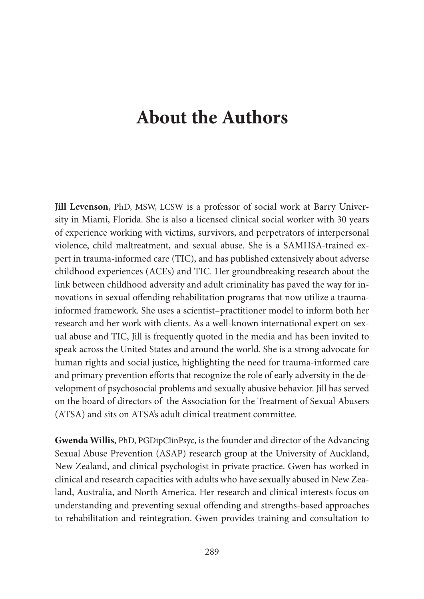### **About the Authors**

**Jill Levenson**, PhD, MSW, LCSW is a professor of social work at Barry University in Miami, Florida. She is also a licensed clinical social worker with 30 years of experience working with victims, survivors, and perpetrators of interpersonal violence, child maltreatment, and sexual abuse. She is a SAMHSA-trained expert in trauma-informed care (TIC), and has published extensively about adverse childhood experiences (ACEs) and TIC. Her groundbreaking research about the link between childhood adversity and adult criminality has paved the way for innovations in sexual offending rehabilitation programs that now utilize a traumainformed framework. She uses a scientist–practitioner model to inform both her research and her work with clients. As a well-known international expert on sexual abuse and TIC, Jill is frequently quoted in the media and has been invited to speak across the United States and around the world. She is a strong advocate for human rights and social justice, highlighting the need for trauma-informed care and primary prevention efforts that recognize the role of early adversity in the development of psychosocial problems and sexually abusive behavior. Jill has served on the board of directors of the Association for the Treatment of Sexual Abusers (ATSA) and sits on ATSA's adult clinical treatment committee.

**Gwenda Willis**, PhD, PGDipClinPsyc, is the founder and director of the Advancing Sexual Abuse Prevention (ASAP) research group at the University of Auckland, New Zealand, and clinical psychologist in private practice. Gwen has worked in clinical and research capacities with adults who have sexually abused in New Zealand, Australia, and North America. Her research and clinical interests focus on understanding and preventing sexual offending and strengths-based approaches to rehabilitation and reintegration. Gwen provides training and consultation to